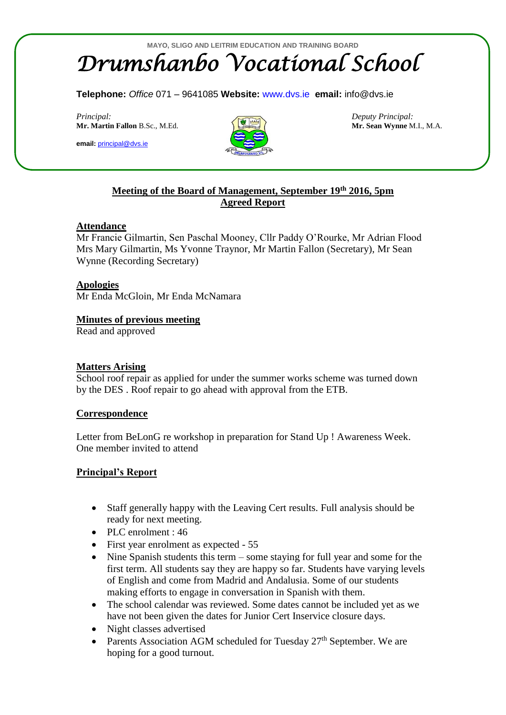**Telephone:** *Office* 071 – 9641085 **Website:** [www.dvs.ie](http://www.dvs.ie/) **email:** info@dvs.ie

*Principal: Deputy Principal:* **Mr. Martin Fallon** B.Sc., M.Ed. **Mr. Sean Wynne** M.I., M.A.

**email:** [principal@dvs.ie](mailto:principal@dvs.ie)



# **Meeting of the Board of Management, September 19th 2016, 5pm Agreed Report**

## **Attendance**

Mr Francie Gilmartin, Sen Paschal Mooney, Cllr Paddy O'Rourke, Mr Adrian Flood Mrs Mary Gilmartin, Ms Yvonne Traynor, Mr Martin Fallon (Secretary), Mr Sean Wynne (Recording Secretary)

## **Apologies**

Mr Enda McGloin, Mr Enda McNamara

### **Minutes of previous meeting**

Read and approved

#### **Matters Arising**

School roof repair as applied for under the summer works scheme was turned down by the DES . Roof repair to go ahead with approval from the ETB.

### **Correspondence**

Letter from BeLonG re workshop in preparation for Stand Up ! Awareness Week. One member invited to attend

## **Principal's Report**

- Staff generally happy with the Leaving Cert results. Full analysis should be ready for next meeting.
- PLC enrolment : 46
- First year enrolment as expected 55
- Nine Spanish students this term some staying for full year and some for the first term. All students say they are happy so far. Students have varying levels of English and come from Madrid and Andalusia. Some of our students making efforts to engage in conversation in Spanish with them.
- The school calendar was reviewed. Some dates cannot be included yet as we have not been given the dates for Junior Cert Inservice closure days.
- Night classes advertised
- Parents Association AGM scheduled for Tuesday 27<sup>th</sup> September. We are hoping for a good turnout.